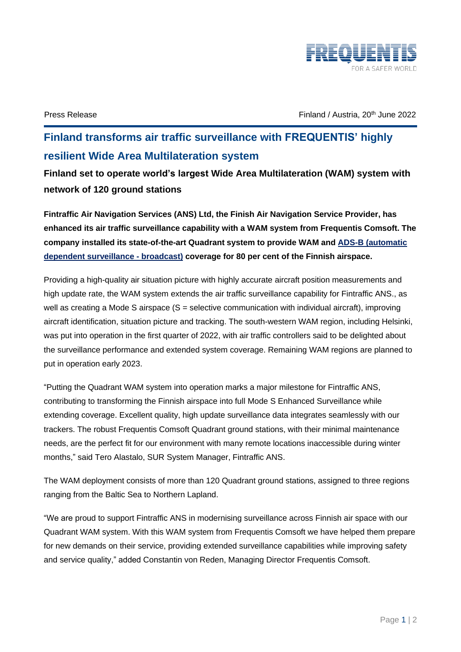

Press Release June 2022 **Finland / Austria, 20<sup>th</sup> June 2022** 

## **Finland transforms air traffic surveillance with FREQUENTIS' highly resilient Wide Area Multilateration system**

**Finland set to operate world's largest Wide Area Multilateration (WAM) system with network of 120 ground stations** 

**Fintraffic Air Navigation Services (ANS) Ltd, the Finish Air Navigation Service Provider, has enhanced its air traffic surveillance capability with a WAM system from Frequentis Comsoft. The company installed its state-of-the-art Quadrant system to provide WAM and [ADS-B \(automatic](https://www.eurocontrol.int/service/automatic-dependent-surveillance-broadcast)  [dependent surveillance -](https://www.eurocontrol.int/service/automatic-dependent-surveillance-broadcast) broadcast) coverage for 80 per cent of the Finnish airspace.** 

Providing a high-quality air situation picture with highly accurate aircraft position measurements and high update rate, the WAM system extends the air traffic surveillance capability for Fintraffic ANS., as well as creating a Mode S airspace (S = selective communication with individual aircraft), improving aircraft identification, situation picture and tracking. The south-western WAM region, including Helsinki, was put into operation in the first quarter of 2022, with air traffic controllers said to be delighted about the surveillance performance and extended system coverage. Remaining WAM regions are planned to put in operation early 2023.

"Putting the Quadrant WAM system into operation marks a major milestone for Fintraffic ANS, contributing to transforming the Finnish airspace into full Mode S Enhanced Surveillance while extending coverage. Excellent quality, high update surveillance data integrates seamlessly with our trackers. The robust Frequentis Comsoft Quadrant ground stations, with their minimal maintenance needs, are the perfect fit for our environment with many remote locations inaccessible during winter months," said Tero Alastalo, SUR System Manager, Fintraffic ANS.

The WAM deployment consists of more than 120 Quadrant ground stations, assigned to three regions ranging from the Baltic Sea to Northern Lapland.

"We are proud to support Fintraffic ANS in modernising surveillance across Finnish air space with our Quadrant WAM system. With this WAM system from Frequentis Comsoft we have helped them prepare for new demands on their service, providing extended surveillance capabilities while improving safety and service quality," added Constantin von Reden, Managing Director Frequentis Comsoft.